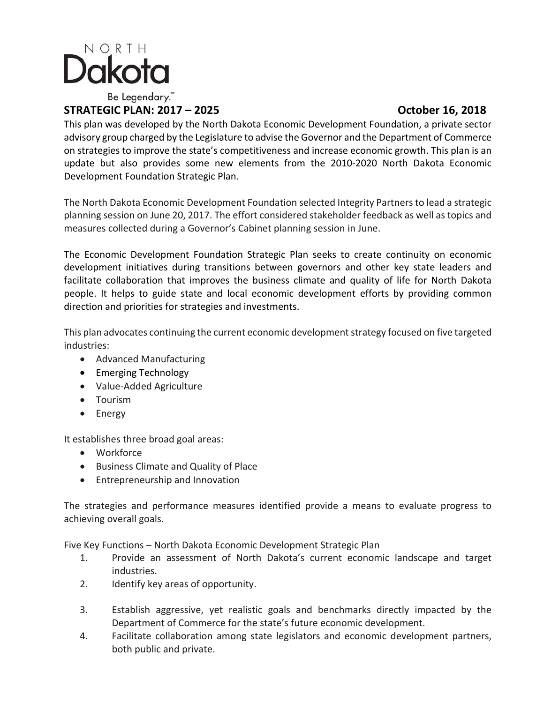

## **STRATEGIC PLAN: 2017 – 2025 October 16, 2018**

This plan was developed by the North Dakota Economic Development Foundation, a private sector advisory group charged by the Legislature to advise the Governor and the Department of Commerce on strategies to improve the state's competitiveness and increase economic growth. This plan is an update but also provides some new elements from the 2010‐2020 North Dakota Economic Development Foundation Strategic Plan.

The North Dakota Economic Development Foundation selected Integrity Partners to lead a strategic planning session on June 20, 2017. The effort considered stakeholder feedback as well as topics and measures collected during a Governor's Cabinet planning session in June.

The Economic Development Foundation Strategic Plan seeks to create continuity on economic development initiatives during transitions between governors and other key state leaders and facilitate collaboration that improves the business climate and quality of life for North Dakota people. It helps to guide state and local economic development efforts by providing common direction and priorities for strategies and investments.

This plan advocates continuing the current economic development strategy focused on five targeted industries:

- Advanced Manufacturing
- Emerging Technology
- Value-Added Agriculture
- Tourism
- Energy

It establishes three broad goal areas:

- Workforce
- Business Climate and Quality of Place
- Entrepreneurship and Innovation

The strategies and performance measures identified provide a means to evaluate progress to achieving overall goals.

Five Key Functions – North Dakota Economic Development Strategic Plan

- 1. Provide an assessment of North Dakota's current economic landscape and target industries.
- 2. Identify key areas of opportunity.
- 3. Establish aggressive, yet realistic goals and benchmarks directly impacted by the Department of Commerce for the state's future economic development.
- 4. Facilitate collaboration among state legislators and economic development partners, both public and private.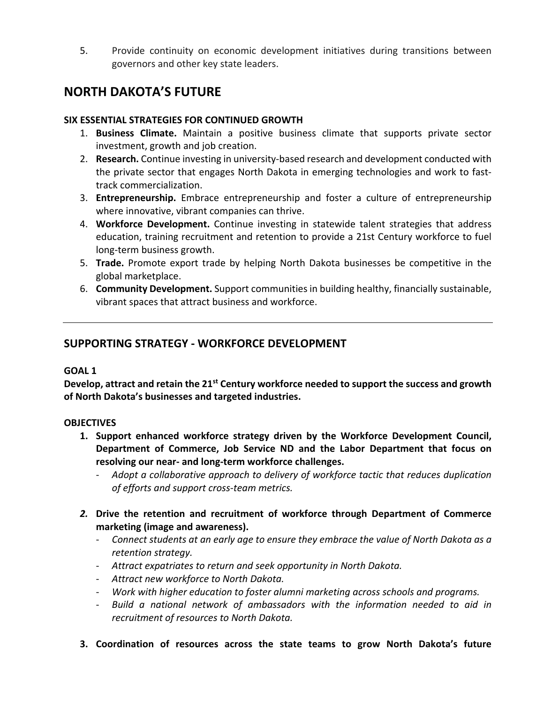5. Provide continuity on economic development initiatives during transitions between governors and other key state leaders.

# **NORTH DAKOTA'S FUTURE**

### **SIX ESSENTIAL STRATEGIES FOR CONTINUED GROWTH**

- 1. **Business Climate.**  Maintain a positive business climate that supports private sector investment, growth and job creation.
- 2. **Research.** Continue investing in university‐based research and development conducted with the private sector that engages North Dakota in emerging technologies and work to fast‐ track commercialization.
- 3. **Entrepreneurship.**  Embrace entrepreneurship and foster a culture of entrepreneurship where innovative, vibrant companies can thrive.
- 4. **Workforce Development.** Continue investing in statewide talent strategies that address education, training recruitment and retention to provide a 21st Century workforce to fuel long‐term business growth.
- 5. **Trade.** Promote export trade by helping North Dakota businesses be competitive in the global marketplace.
- 6. **Community Development.** Support communities in building healthy, financially sustainable, vibrant spaces that attract business and workforce.

## **SUPPORTING STRATEGY ‐ WORKFORCE DEVELOPMENT**

#### **GOAL 1**

**Develop, attract and retain the 21st Century workforce needed to support the success and growth of North Dakota's businesses and targeted industries.** 

## **OBJECTIVES**

- **1. Support enhanced workforce strategy driven by the Workforce Development Council, Department of Commerce, Job Service ND and the Labor Department that focus on resolving our near‐ and long‐term workforce challenges.** 
	- ‐ *Adopt a collaborative approach to delivery of workforce tactic that reduces duplication of efforts and support cross‐team metrics.*
- *2.* **Drive the retention and recruitment of workforce through Department of Commerce marketing (image and awareness).**
	- ‐ *Connect students at an early age to ensure they embrace the value of North Dakota as a retention strategy.*
	- ‐ *Attract expatriates to return and seek opportunity in North Dakota.*
	- ‐ *Attract new workforce to North Dakota.*
	- ‐ *Work with higher education to foster alumni marketing across schools and programs.*
	- ‐ *Build a national network of ambassadors with the information needed to aid in recruitment of resources to North Dakota.*
- **3. Coordination of resources across the state teams to grow North Dakota's future**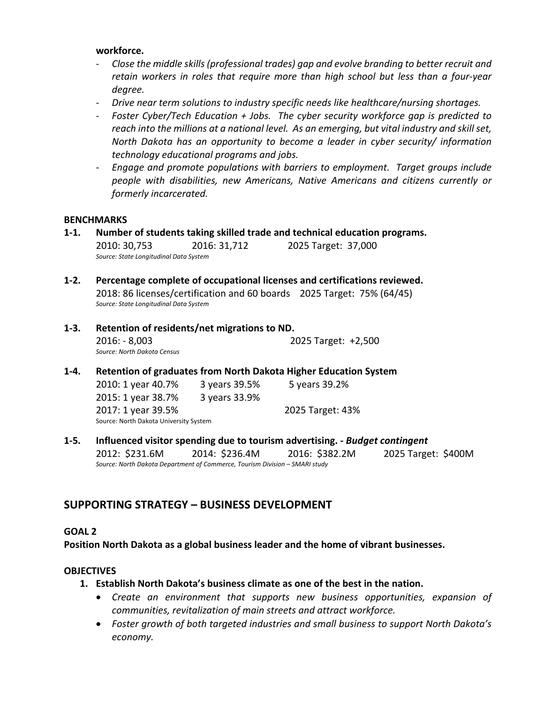#### **workforce.**

- ‐ *Close the middle skills (professional trades) gap and evolve branding to better recruit and retain workers in roles that require more than high school but less than a four‐year degree.*
- ‐ *Drive near term solutions to industry specific needs like healthcare/nursing shortages.*
- ‐ *Foster Cyber/Tech Education + Jobs. The cyber security workforce gap is predicted to reach into the millions at a national level. As an emerging, but vital industry and skill set, North Dakota has an opportunity to become a leader in cyber security/ information technology educational programs and jobs.*
- ‐ *Engage and promote populations with barriers to employment. Target groups include people with disabilities, new Americans, Native Americans and citizens currently or formerly incarcerated.*

#### **BENCHMARKS**

- **1‐1. Number of students taking skilled trade and technical education programs.**  2010: 30,753 2016: 31,712 2025 Target: 37,000 *Source: State Longitudinal Data System*
- **1‐2. Percentage complete of occupational licenses and certifications reviewed.**  2018: 86 licenses/certification and 60 boards 2025 Target: 75% (64/45) *Source: State Longitudinal Data System*
- **1‐3. Retention of residents/net migrations to ND.**  2016: ‐ 8,003 2025 Target: +2,500 *Source: North Dakota Census*
- **1‐4. Retention of graduates from North Dakota Higher Education System**  2010: 1 year 40.7% 3 years 39.5% 5 years 39.2% 2015: 1 year 38.7% 3 years 33.9% 2017: 1 year 39.5% 2025 Target: 43% Source: North Dakota University System
- **1‐5. Influenced visitor spending due to tourism advertising. ‐** *Budget contingent* 2012: \$231.6M 2014: \$236.4M 2016: \$382.2M 2025 Target: \$400M *Source: North Dakota Department of Commerce, Tourism Division – SMARI study*

## **SUPPORTING STRATEGY – BUSINESS DEVELOPMENT**

#### **GOAL 2**

**Position North Dakota as a global business leader and the home of vibrant businesses.** 

#### **OBJECTIVES**

- **1. Establish North Dakota's business climate as one of the best in the nation.** 
	- *Create an environment that supports new business opportunities, expansion of communities, revitalization of main streets and attract workforce.*
	- *Foster growth of both targeted industries and small business to support North Dakota's economy.*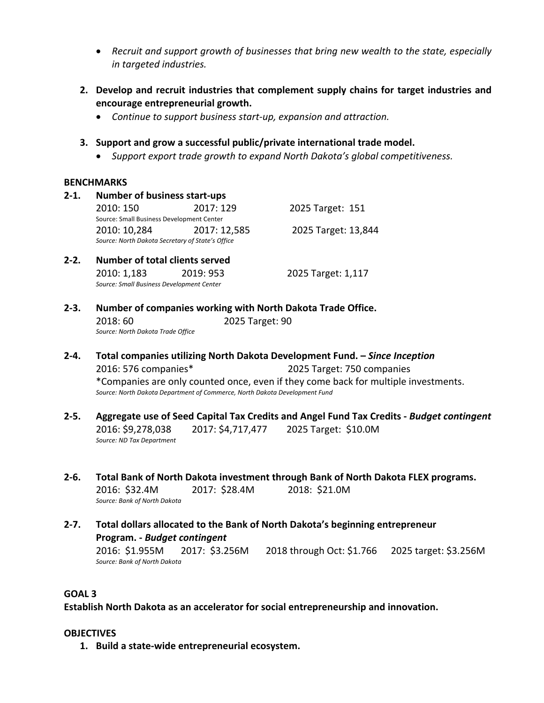- *Recruit and support growth of businesses that bring new wealth to the state, especially in targeted industries.*
- **2. Develop and recruit industries that complement supply chains for target industries and encourage entrepreneurial growth.** 
	- *Continue to support business start‐up, expansion and attraction.*

#### **3. Support and grow a successful public/private international trade model.**

*Support export trade growth to expand North Dakota's global competitiveness.* 

#### **BENCHMARKS**

**2‐1. Number of business start‐ups**  2010: 150 2017: 129 2025 Target: 151 Source: Small Business Development Center 2010: 10,284 2017: 12,585 2025 Target: 13,844 *Source: North Dakota Secretary of State's Office* 

#### **2‐2. Number of total clients served** 2010: 1,183 2019: 953 2025 Target: 1,117 *Source: Small Business Development Center*

## **2‐3. Number of companies working with North Dakota Trade Office.**

2018: 60 2025 Target: 90 *Source: North Dakota Trade Office*

- **2‐4. Total companies utilizing North Dakota Development Fund. –** *Since Inception*  2016: 576 companies\* 2025 Target: 750 companies \*Companies are only counted once, even if they come back for multiple investments. *Source: North Dakota Department of Commerce, North Dakota Development Fund*
- **2‐5. Aggregate use of Seed Capital Tax Credits and Angel Fund Tax Credits ‐** *Budget contingent* 2016: \$9,278,038 2017: \$4,717,477 2025 Target: \$10.0M *Source: ND Tax Department*

#### **2‐6. Total Bank of North Dakota investment through Bank of North Dakota FLEX programs.**  2016: \$32.4M 2017: \$28.4M 2018: \$21.0M *Source: Bank of North Dakota*

**2‐7. Total dollars allocated to the Bank of North Dakota's beginning entrepreneur Program. ‐** *Budget contingent* 2016: \$1.955M 2017: \$3.256M 2018 through Oct: \$1.766 2025 target: \$3.256M *Source: Bank of North Dakota* 

#### **GOAL 3**

**Establish North Dakota as an accelerator for social entrepreneurship and innovation.** 

#### **OBJECTIVES**

**1. Build a state‐wide entrepreneurial ecosystem.**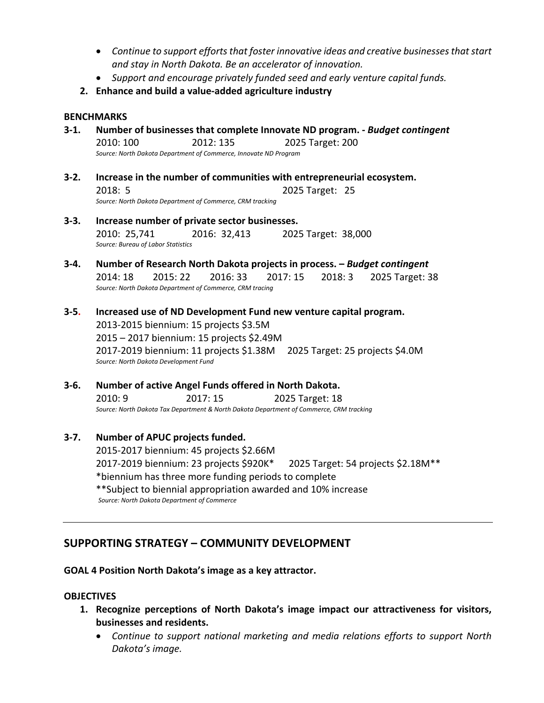- *Continue to support efforts that foster innovative ideas and creative businesses that start and stay in North Dakota. Be an accelerator of innovation.*
- *Support and encourage privately funded seed and early venture capital funds.*
- **2. Enhance and build a value‐added agriculture industry**

#### **BENCHMARKS**

- **3‐1. Number of businesses that complete Innovate ND program. ‐** *Budget contingent* 2010: 100 2012: 135 2025 Target: 200 *Source: North Dakota Department of Commerce, Innovate ND Program*
- **3‐2. Increase in the number of communities with entrepreneurial ecosystem.**  2018: 5 2025 Target: 25 *Source: North Dakota Department of Commerce, CRM tracking*
- **3‐3. Increase number of private sector businesses.**  2010: 25,741 2016: 32,413 2025 Target: 38,000 *Source: Bureau of Labor Statistics*
- **3‐4. Number of Research North Dakota projects in process.** *Budget contingent* 2014: 18 2015: 22 2016: 33 2017: 15 2018: 3 2025 Target: 38 *Source: North Dakota Department of Commerce, CRM tracing*
- **3‐5. Increased use of ND Development Fund new venture capital program.**  2013‐2015 biennium: 15 projects \$3.5M 2015 – 2017 biennium: 15 projects \$2.49M 2017‐2019 biennium: 11 projects \$1.38M 2025 Target: 25 projects \$4.0M *Source: North Dakota Development Fund*
- **3‐6. Number of active Angel Funds offered in North Dakota.**  2010: 9 2017: 15 2025 Target: 18 *Source: North Dakota Tax Department & North Dakota Department of Commerce, CRM tracking*
- **3‐7. Number of APUC projects funded.**  2015‐2017 biennium: 45 projects \$2.66M 2017‐2019 biennium: 23 projects \$920K\* 2025 Target: 54 projects \$2.18M\*\* \*biennium has three more funding periods to complete \*\*Subject to biennial appropriation awarded and 10% increase *Source: North Dakota Department of Commerce*

## **SUPPORTING STRATEGY – COMMUNITY DEVELOPMENT**

**GOAL 4 Position North Dakota's image as a key attractor.** 

#### **OBJECTIVES**

- **1. Recognize perceptions of North Dakota's image impact our attractiveness for visitors, businesses and residents.** 
	- *Continue to support national marketing and media relations efforts to support North Dakota's image.*